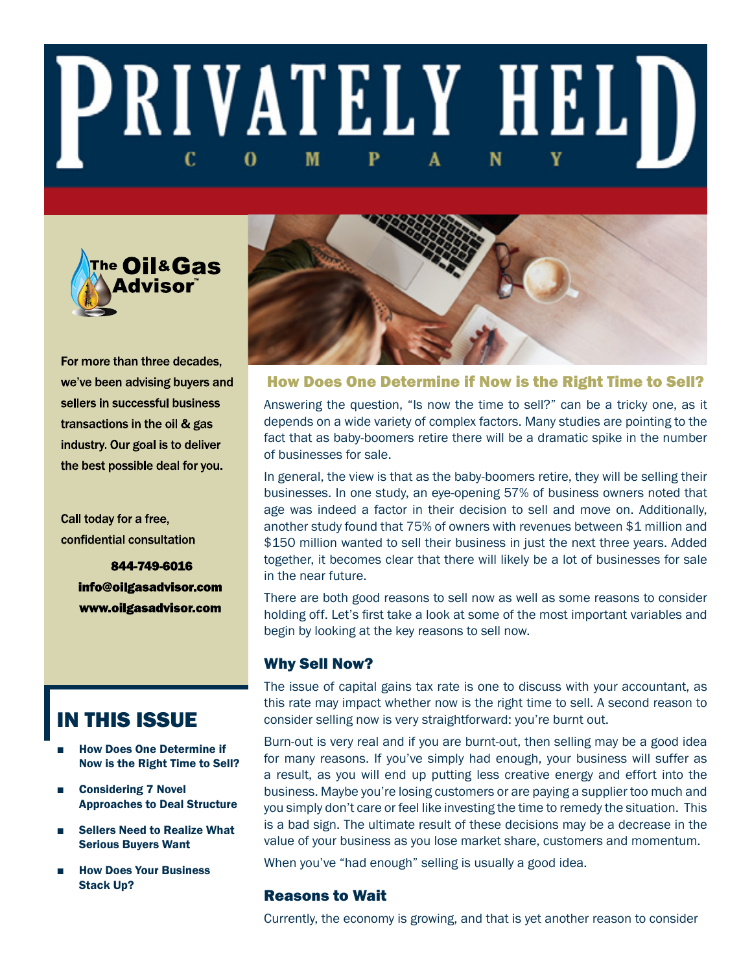# **PRIVATELY HELD** M



For more than three decades, we've been advising buyers and sellers in successful business transactions in the oil & gas industry. Our goal is to deliver the best possible deal for you.

Call today for a free, confidential consultation

> 844-749-6016 info@oilgasadvisor.com www.oilgasadvisor.com

## IN THIS ISSUE

- **How Does One Determine if** Now is the Right Time to Sell?
- Considering 7 Novel Approaches to Deal Structure
- **Sellers Need to Realize What** Serious Buyers Want
- **How Does Your Business** Stack Up?



#### How Does One Determine if Now is the Right Time to Sell?

Answering the question, "Is now the time to sell?" can be a tricky one, as it depends on a wide variety of complex factors. Many studies are pointing to the fact that as baby-boomers retire there will be a dramatic spike in the number of businesses for sale.

In general, the view is that as the baby-boomers retire, they will be selling their businesses. In one study, an eye-opening 57% of business owners noted that age was indeed a factor in their decision to sell and move on. Additionally, another study found that 75% of owners with revenues between \$1 million and \$150 million wanted to sell their business in just the next three years. Added together, it becomes clear that there will likely be a lot of businesses for sale in the near future.

There are both good reasons to sell now as well as some reasons to consider holding off. Let's first take a look at some of the most important variables and begin by looking at the key reasons to sell now.

#### Why Sell Now?

The issue of capital gains tax rate is one to discuss with your accountant, as this rate may impact whether now is the right time to sell. A second reason to consider selling now is very straightforward: you're burnt out.

Burn-out is very real and if you are burnt-out, then selling may be a good idea for many reasons. If you've simply had enough, your business will suffer as a result, as you will end up putting less creative energy and effort into the business. Maybe you're losing customers or are paying a supplier too much and you simply don't care or feel like investing the time to remedy the situation. This is a bad sign. The ultimate result of these decisions may be a decrease in the value of your business as you lose market share, customers and momentum.

When you've "had enough" selling is usually a good idea.

#### Reasons to Wait

Currently, the economy is growing, and that is yet another reason to consider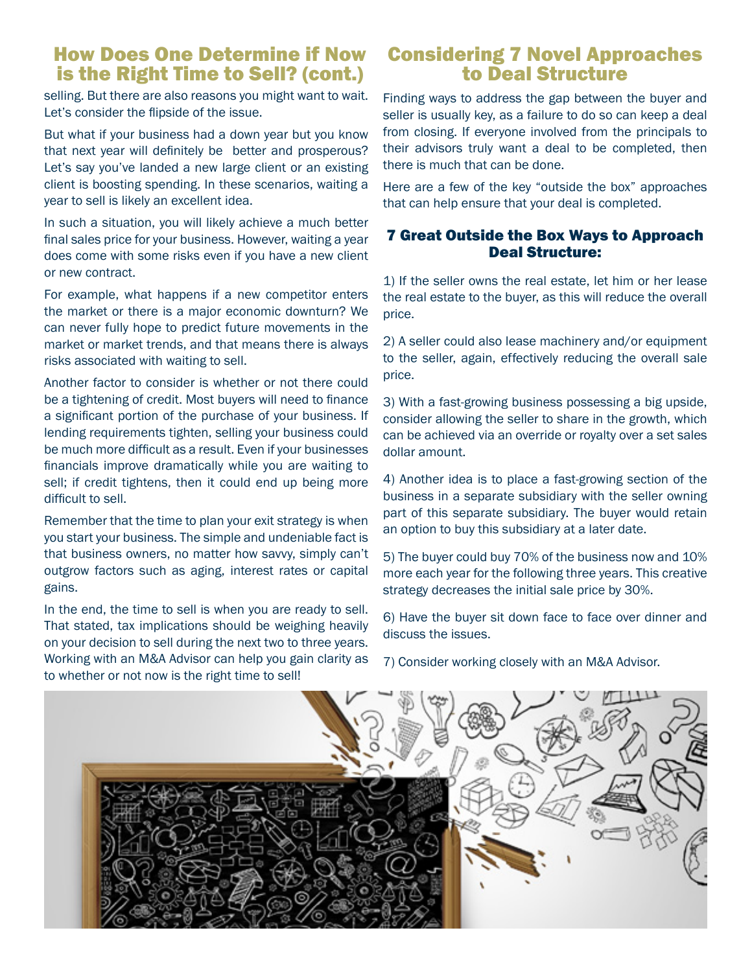## How Does One Determine if Now is the Right Time to Sell? (cont.)

selling. But there are also reasons you might want to wait. Let's consider the flipside of the issue.

But what if your business had a down year but you know that next year will definitely be better and prosperous? Let's say you've landed a new large client or an existing client is boosting spending. In these scenarios, waiting a year to sell is likely an excellent idea.

In such a situation, you will likely achieve a much better final sales price for your business. However, waiting a year does come with some risks even if you have a new client or new contract.

For example, what happens if a new competitor enters the market or there is a major economic downturn? We can never fully hope to predict future movements in the market or market trends, and that means there is always risks associated with waiting to sell.

Another factor to consider is whether or not there could be a tightening of credit. Most buyers will need to finance a significant portion of the purchase of your business. If lending requirements tighten, selling your business could be much more difficult as a result. Even if your businesses financials improve dramatically while you are waiting to sell; if credit tightens, then it could end up being more difficult to sell.

Remember that the time to plan your exit strategy is when you start your business. The simple and undeniable fact is that business owners, no matter how savvy, simply can't outgrow factors such as aging, interest rates or capital gains.

In the end, the time to sell is when you are ready to sell. That stated, tax implications should be weighing heavily on your decision to sell during the next two to three years. Working with an M&A Advisor can help you gain clarity as to whether or not now is the right time to sell!

## Considering 7 Novel Approaches to Deal Structure

Finding ways to address the gap between the buyer and seller is usually key, as a failure to do so can keep a deal from closing. If everyone involved from the principals to their advisors truly want a deal to be completed, then there is much that can be done.

Here are a few of the key "outside the box" approaches that can help ensure that your deal is completed.

#### 7 Great Outside the Box Ways to Approach Deal Structure:

1) If the seller owns the real estate, let him or her lease the real estate to the buyer, as this will reduce the overall price.

2) A seller could also lease machinery and/or equipment to the seller, again, effectively reducing the overall sale price.

3) With a fast-growing business possessing a big upside, consider allowing the seller to share in the growth, which can be achieved via an override or royalty over a set sales dollar amount.

4) Another idea is to place a fast-growing section of the business in a separate subsidiary with the seller owning part of this separate subsidiary. The buyer would retain an option to buy this subsidiary at a later date.

5) The buyer could buy 70% of the business now and 10% more each year for the following three years. This creative strategy decreases the initial sale price by 30%.

6) Have the buyer sit down face to face over dinner and discuss the issues.

7) Consider working closely with an M&A Advisor.

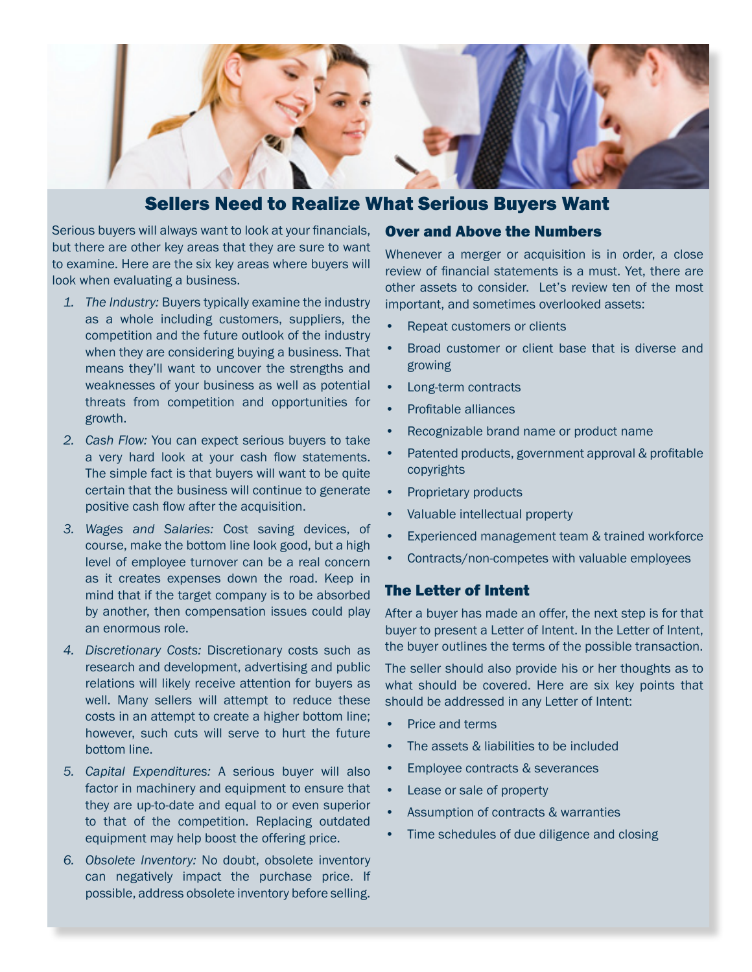

### Sellers Need to Realize What Serious Buyers Want

Serious buyers will always want to look at your financials, but there are other key areas that they are sure to want to examine. Here are the six key areas where buyers will look when evaluating a business.

- *1. The Industry:* Buyers typically examine the industry as a whole including customers, suppliers, the competition and the future outlook of the industry when they are considering buying a business. That means they'll want to uncover the strengths and weaknesses of your business as well as potential threats from competition and opportunities for growth.
- *2. Cash Flow:* You can expect serious buyers to take a very hard look at your cash flow statements. The simple fact is that buyers will want to be quite certain that the business will continue to generate positive cash flow after the acquisition.
- *3. Wages and Salaries:* Cost saving devices, of course, make the bottom line look good, but a high level of employee turnover can be a real concern as it creates expenses down the road. Keep in mind that if the target company is to be absorbed by another, then compensation issues could play an enormous role.
- *4. Discretionary Costs:* Discretionary costs such as research and development, advertising and public relations will likely receive attention for buyers as well. Many sellers will attempt to reduce these costs in an attempt to create a higher bottom line; however, such cuts will serve to hurt the future bottom line.
- *5. Capital Expenditures:* A serious buyer will also factor in machinery and equipment to ensure that they are up-to-date and equal to or even superior to that of the competition. Replacing outdated equipment may help boost the offering price.
- *6. Obsolete Inventory:* No doubt, obsolete inventory can negatively impact the purchase price. If possible, address obsolete inventory before selling.

#### Over and Above the Numbers

Whenever a merger or acquisition is in order, a close review of financial statements is a must. Yet, there are other assets to consider. Let's review ten of the most important, and sometimes overlooked assets:

- Repeat customers or clients
- Broad customer or client base that is diverse and growing
- Long-term contracts
- Profitable alliances
- Recognizable brand name or product name
- Patented products, government approval & profitable copyrights
- Proprietary products
- Valuable intellectual property
- Experienced management team & trained workforce
- Contracts/non-competes with valuable employees

#### The Letter of Intent

After a buyer has made an offer, the next step is for that buyer to present a Letter of Intent. In the Letter of Intent, the buyer outlines the terms of the possible transaction.

The seller should also provide his or her thoughts as to what should be covered. Here are six key points that should be addressed in any Letter of Intent:

- Price and terms
- The assets & liabilities to be included
- Employee contracts & severances
- Lease or sale of property
- Assumption of contracts & warranties
- Time schedules of due diligence and closing